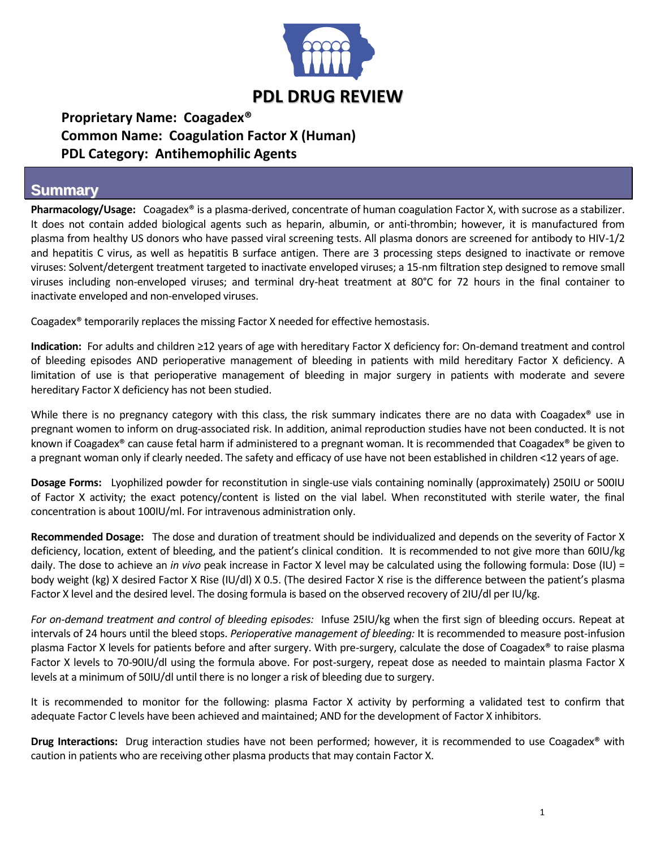

## **Proprietary Name: Coagadex® Common Name: Coagulation Factor X (Human) PDL Category: Antihemophilic Agents**

## **Summary**

**Pharmacology/Usage:** Coagadex® is a plasma-derived, concentrate of human coagulation Factor X, with sucrose as a stabilizer. It does not contain added biological agents such as heparin, albumin, or anti-thrombin; however, it is manufactured from plasma from healthy US donors who have passed viral screening tests. All plasma donors are screened for antibody to HIV-1/2 and hepatitis C virus, as well as hepatitis B surface antigen. There are 3 processing steps designed to inactivate or remove viruses: Solvent/detergent treatment targeted to inactivate enveloped viruses; a 15-nm filtration step designed to remove small viruses including non-enveloped viruses; and terminal dry-heat treatment at 80°C for 72 hours in the final container to inactivate enveloped and non-enveloped viruses.

Coagadex® temporarily replaces the missing Factor X needed for effective hemostasis.

**Indication:** For adults and children ≥12 years of age with hereditary Factor X deficiency for: On-demand treatment and control of bleeding episodes AND perioperative management of bleeding in patients with mild hereditary Factor X deficiency. A limitation of use is that perioperative management of bleeding in major surgery in patients with moderate and severe hereditary Factor X deficiency has not been studied.

While there is no pregnancy category with this class, the risk summary indicates there are no data with Coagadex<sup>®</sup> use in pregnant women to inform on drug-associated risk. In addition, animal reproduction studies have not been conducted. It is not known if Coagadex® can cause fetal harm if administered to a pregnant woman. It is recommended that Coagadex® be given to a pregnant woman only if clearly needed. The safety and efficacy of use have not been established in children <12 years of age.

**Dosage Forms:** Lyophilized powder for reconstitution in single-use vials containing nominally (approximately) 250IU or 500IU of Factor X activity; the exact potency/content is listed on the vial label. When reconstituted with sterile water, the final concentration is about 100IU/ml. For intravenous administration only.

**Recommended Dosage:** The dose and duration of treatment should be individualized and depends on the severity of Factor X deficiency, location, extent of bleeding, and the patient's clinical condition. It is recommended to not give more than 60IU/kg daily. The dose to achieve an *in vivo* peak increase in Factor X level may be calculated using the following formula: Dose (IU) = body weight (kg) X desired Factor X Rise (IU/dl) X 0.5. (The desired Factor X rise is the difference between the patient's plasma Factor X level and the desired level. The dosing formula is based on the observed recovery of 2IU/dl per IU/kg.

*For on-demand treatment and control of bleeding episodes:* Infuse 25IU/kg when the first sign of bleeding occurs. Repeat at intervals of 24 hours until the bleed stops. *Perioperative management of bleeding:* It is recommended to measure post-infusion plasma Factor X levels for patients before and after surgery. With pre-surgery, calculate the dose of Coagadex® to raise plasma Factor X levels to 70-90IU/dl using the formula above. For post-surgery, repeat dose as needed to maintain plasma Factor X levels at a minimum of 50IU/dl until there is no longer a risk of bleeding due to surgery.

It is recommended to monitor for the following: plasma Factor X activity by performing a validated test to confirm that adequate Factor C levels have been achieved and maintained; AND for the development of Factor X inhibitors.

**Drug Interactions:** Drug interaction studies have not been performed; however, it is recommended to use Coagadex® with caution in patients who are receiving other plasma products that may contain Factor X.